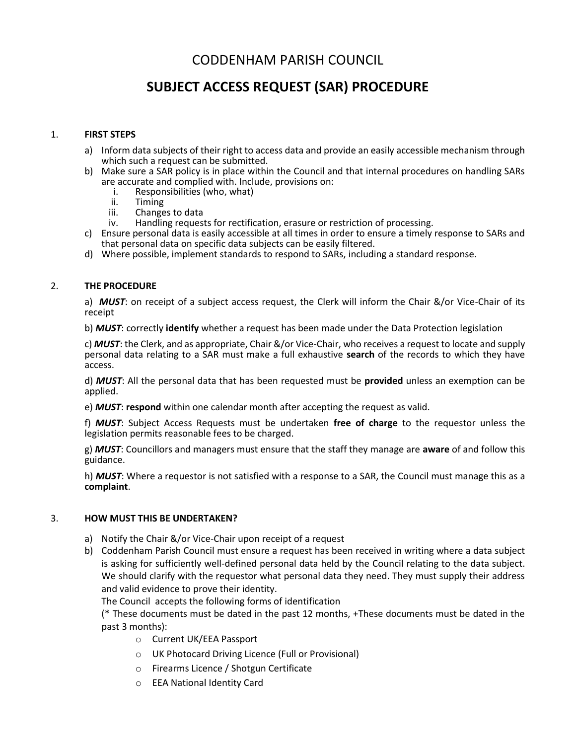## CODDENHAM PARISH COUNCIL

# **SUBJECT ACCESS REQUEST (SAR) PROCEDURE**

### 1. **FIRST STEPS**

- a) Inform data subjects of their right to access data and provide an easily accessible mechanism through which such a request can be submitted.
- b) Make sure a SAR policy is in place within the Council and that internal procedures on handling SARs are accurate and complied with. Include, provisions on:
	- i. Responsibilities (who, what)<br>ii. Timing
	- ii. Timing<br>iii. Change
	- Changes to data
	- iv. Handling requests for rectification, erasure or restriction of processing.
- c) Ensure personal data is easily accessible at all times in order to ensure a timely response to SARs and that personal data on specific data subjects can be easily filtered.
- d) Where possible, implement standards to respond to SARs, including a standard response.

#### 2. **THE PROCEDURE**

a) *MUST*: on receipt of a subject access request, the Clerk will inform the Chair &/or Vice-Chair of its receipt

b) *MUST*: correctly **identify** whether a request has been made under the Data Protection legislation

c) *MUST*: the Clerk, and as appropriate, Chair &/or Vice-Chair, who receives a request to locate and supply personal data relating to a SAR must make a full exhaustive **search** of the records to which they have access.

d) *MUST*: All the personal data that has been requested must be **provided** unless an exemption can be applied.

e) *MUST*: **respond** within one calendar month after accepting the request as valid.

f) *MUST*: Subject Access Requests must be undertaken **free of charge** to the requestor unless the legislation permits reasonable fees to be charged.

g) *MUST*: Councillors and managers must ensure that the staff they manage are **aware** of and follow this guidance.

h) *MUST*: Where a requestor is not satisfied with a response to a SAR, the Council must manage this as a **complaint**.

#### 3. **HOW MUST THIS BE UNDERTAKEN?**

- a) Notify the Chair &/or Vice-Chair upon receipt of a request
- b) Coddenham Parish Council must ensure a request has been received in writing where a data subject is asking for sufficiently well-defined personal data held by the Council relating to the data subject. We should clarify with the requestor what personal data they need. They must supply their address and valid evidence to prove their identity.

The Council accepts the following forms of identification

(\* These documents must be dated in the past 12 months, +These documents must be dated in the past 3 months):

- o Current UK/EEA Passport
- o UK Photocard Driving Licence (Full or Provisional)
- o Firearms Licence / Shotgun Certificate
- o EEA National Identity Card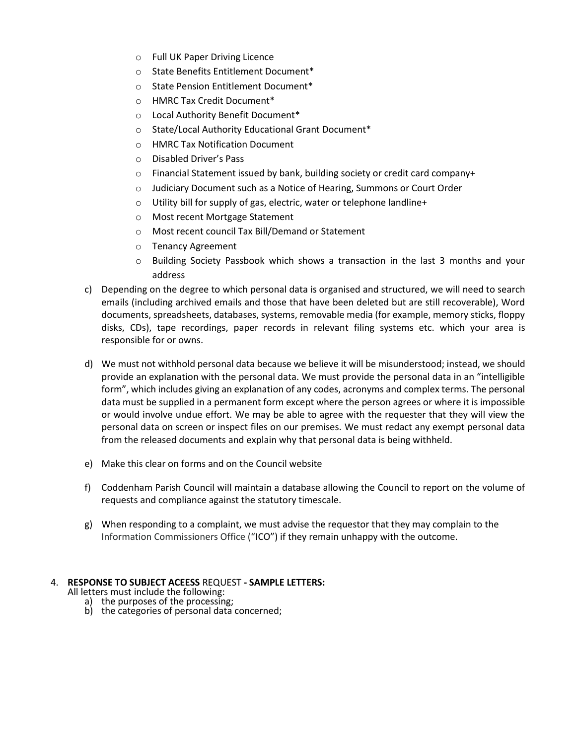- o Full UK Paper Driving Licence
- o State Benefits Entitlement Document\*
- o State Pension Entitlement Document\*
- o HMRC Tax Credit Document\*
- o Local Authority Benefit Document\*
- o State/Local Authority Educational Grant Document\*
- o HMRC Tax Notification Document
- o Disabled Driver's Pass
- o Financial Statement issued by bank, building society or credit card company+
- o Judiciary Document such as a Notice of Hearing, Summons or Court Order
- o Utility bill for supply of gas, electric, water or telephone landline+
- o Most recent Mortgage Statement
- o Most recent council Tax Bill/Demand or Statement
- o Tenancy Agreement
- o Building Society Passbook which shows a transaction in the last 3 months and your address
- c) Depending on the degree to which personal data is organised and structured, we will need to search emails (including archived emails and those that have been deleted but are still recoverable), Word documents, spreadsheets, databases, systems, removable media (for example, memory sticks, floppy disks, CDs), tape recordings, paper records in relevant filing systems etc. which your area is responsible for or owns.
- d) We must not withhold personal data because we believe it will be misunderstood; instead, we should provide an explanation with the personal data. We must provide the personal data in an "intelligible form", which includes giving an explanation of any codes, acronyms and complex terms. The personal data must be supplied in a permanent form except where the person agrees or where it is impossible or would involve undue effort. We may be able to agree with the requester that they will view the personal data on screen or inspect files on our premises. We must redact any exempt personal data from the released documents and explain why that personal data is being withheld.
- e) Make this clear on forms and on the Council website
- f) Coddenham Parish Council will maintain a database allowing the Council to report on the volume of requests and compliance against the statutory timescale.
- g) When responding to a complaint, we must advise the requestor that they may complain to the Information Commissioners Office ("ICO") if they remain unhappy with the outcome.

#### 4. **RESPONSE TO SUBJECT ACEESS** REQUEST **- SAMPLE LETTERS:**

All letters must include the following:

- a) the purposes of the processing;<br>b) the categories of personal data
- the categories of personal data concerned;